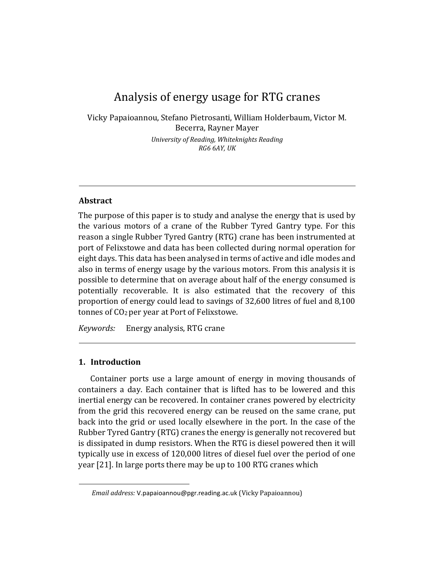# Analysis of energy usage for RTG cranes

Vicky Papaioannou, Stefano Pietrosanti, William Holderbaum, Victor M. Becerra, Rayner Mayer

> *University of Reading, Whiteknights Reading RG6 6AY, UK*

# **Abstract**

The purpose of this paper is to study and analyse the energy that is used by the various motors of a crane of the Rubber Tyred Gantry type. For this reason a single Rubber Tyred Gantry (RTG) crane has been instrumented at port of Felixstowe and data has been collected during normal operation for eight days. This data has been analysed in terms of active and idle modes and also in terms of energy usage by the various motors. From this analysis it is possible to determine that on average about half of the energy consumed is potentially recoverable. It is also estimated that the recovery of this proportion of energy could lead to savings of 32,600 litres of fuel and 8,100 tonnes of CO2 per year at Port of Felixstowe.

*Keywords:* Energy analysis, RTG crane

# **1. Introduction**

Container ports use a large amount of energy in moving thousands of containers a day. Each container that is lifted has to be lowered and this inertial energy can be recovered. In container cranes powered by electricity from the grid this recovered energy can be reused on the same crane, put back into the grid or used locally elsewhere in the port. In the case of the Rubber Tyred Gantry (RTG) cranes the energy is generally not recovered but is dissipated in dump resistors. When the RTG is diesel powered then it will typically use in excess of 120,000 litres of diesel fuel over the period of one year [21]. In large ports there may be up to 100 RTG cranes which

*Email address:* V.papaioannou@pgr.reading.ac.uk (Vicky Papaioannou)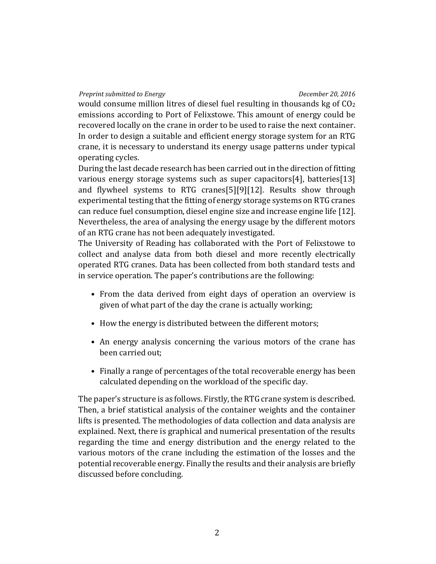## *Preprint submitted to Energy December 20, 2016*

would consume million litres of diesel fuel resulting in thousands kg of  $CO<sub>2</sub>$ emissions according to Port of Felixstowe. This amount of energy could be recovered locally on the crane in order to be used to raise the next container. In order to design a suitable and efficient energy storage system for an RTG crane, it is necessary to understand its energy usage patterns under typical operating cycles.

During the last decade research has been carried out in the direction of fitting various energy storage systems such as super capacitors[4], batteries[13] and flywheel systems to RTG cranes[5][9][12]. Results show through experimental testing that the fitting of energy storage systems on RTG cranes can reduce fuel consumption, diesel engine size and increase engine life [12]. Nevertheless, the area of analysing the energy usage by the different motors of an RTG crane has not been adequately investigated.

The University of Reading has collaborated with the Port of Felixstowe to collect and analyse data from both diesel and more recently electrically operated RTG cranes. Data has been collected from both standard tests and in service operation. The paper's contributions are the following:

- From the data derived from eight days of operation an overview is given of what part of the day the crane is actually working;
- How the energy is distributed between the different motors;
- An energy analysis concerning the various motors of the crane has been carried out;
- Finally a range of percentages of the total recoverable energy has been calculated depending on the workload of the specific day.

The paper's structure is as follows. Firstly, the RTG crane system is described. Then, a brief statistical analysis of the container weights and the container lifts is presented. The methodologies of data collection and data analysis are explained. Next, there is graphical and numerical presentation of the results regarding the time and energy distribution and the energy related to the various motors of the crane including the estimation of the losses and the potential recoverable energy. Finally the results and their analysis are briefly discussed before concluding.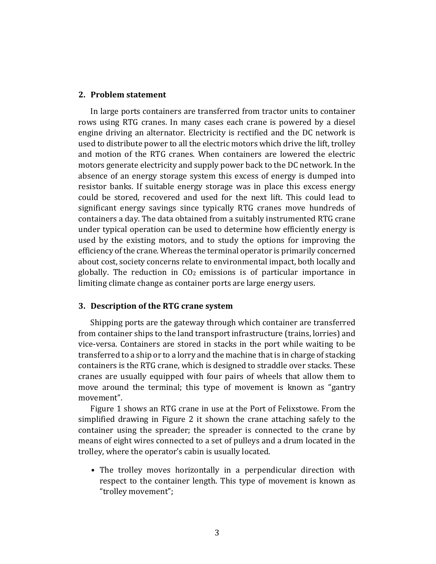# **2. Problem statement**

In large ports containers are transferred from tractor units to container rows using RTG cranes. In many cases each crane is powered by a diesel engine driving an alternator. Electricity is rectified and the DC network is used to distribute power to all the electric motors which drive the lift, trolley and motion of the RTG cranes. When containers are lowered the electric motors generate electricity and supply power back to the DC network. In the absence of an energy storage system this excess of energy is dumped into resistor banks. If suitable energy storage was in place this excess energy could be stored, recovered and used for the next lift. This could lead to significant energy savings since typically RTG cranes move hundreds of containers a day. The data obtained from a suitably instrumented RTG crane under typical operation can be used to determine how efficiently energy is used by the existing motors, and to study the options for improving the efficiency of the crane. Whereas the terminal operator is primarily concerned about cost, society concerns relate to environmental impact, both locally and globally. The reduction in CO2 emissions is of particular importance in limiting climate change as container ports are large energy users.

#### **3. Description of the RTG crane system**

Shipping ports are the gateway through which container are transferred from container ships to the land transport infrastructure (trains, lorries) and vice-versa. Containers are stored in stacks in the port while waiting to be transferred to a ship or to a lorry and the machine that is in charge of stacking containers is the RTG crane, which is designed to straddle over stacks. These cranes are usually equipped with four pairs of wheels that allow them to move around the terminal; this type of movement is known as "gantry movement".

Figure 1 shows an RTG crane in use at the Port of Felixstowe. From the simplified drawing in Figure 2 it shown the crane attaching safely to the container using the spreader; the spreader is connected to the crane by means of eight wires connected to a set of pulleys and a drum located in the trolley, where the operator's cabin is usually located.

• The trolley moves horizontally in a perpendicular direction with respect to the container length. This type of movement is known as "trolley movement";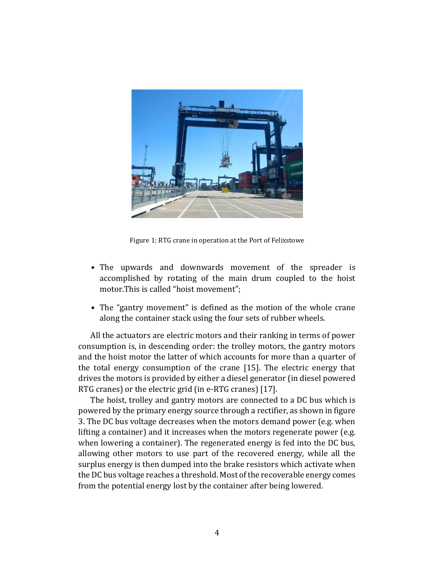

Figure 1: RTG crane in operation at the Port of Felixstowe

- The upwards and downwards movement of the spreader is accomplished by rotating of the main drum coupled to the hoist motor.This is called "hoist movement";
- The "gantry movement" is defined as the motion of the whole crane along the container stack using the four sets of rubber wheels.

All the actuators are electric motors and their ranking in terms of power consumption is, in descending order: the trolley motors, the gantry motors and the hoist motor the latter of which accounts for more than a quarter of the total energy consumption of the crane [15]. The electric energy that drives the motors is provided by either a diesel generator (in diesel powered RTG cranes) or the electric grid (in e-RTG cranes) [17].

The hoist, trolley and gantry motors are connected to a DC bus which is powered by the primary energy source through a rectifier, as shown in figure 3. The DC bus voltage decreases when the motors demand power (e.g. when lifting a container) and it increases when the motors regenerate power (e.g. when lowering a container). The regenerated energy is fed into the DC bus, allowing other motors to use part of the recovered energy, while all the surplus energy is then dumped into the brake resistors which activate when the DC bus voltage reaches a threshold. Most of the recoverable energy comes from the potential energy lost by the container after being lowered.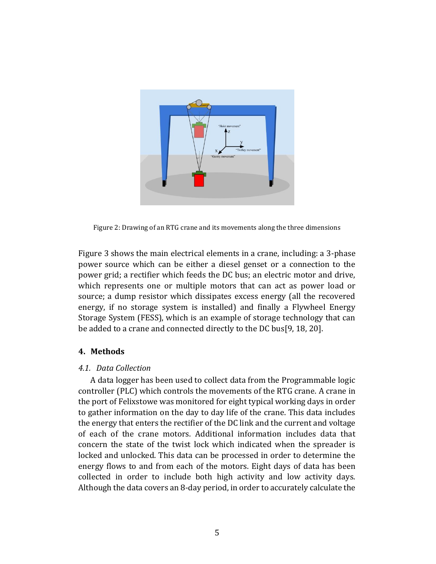

Figure 2: Drawing of an RTG crane and its movements along the three dimensions

Figure 3 shows the main electrical elements in a crane, including: a 3-phase power source which can be either a diesel genset or a connection to the power grid; a rectifier which feeds the DC bus; an electric motor and drive, which represents one or multiple motors that can act as power load or source; a dump resistor which dissipates excess energy (all the recovered energy, if no storage system is installed) and finally a Flywheel Energy Storage System (FESS), which is an example of storage technology that can be added to a crane and connected directly to the DC bus[9, 18, 20].

# **4. Methods**

# *4.1. Data Collection*

A data logger has been used to collect data from the Programmable logic controller (PLC) which controls the movements of the RTG crane. A crane in the port of Felixstowe was monitored for eight typical working days in order to gather information on the day to day life of the crane. This data includes the energy that enters the rectifier of the DC link and the current and voltage of each of the crane motors. Additional information includes data that concern the state of the twist lock which indicated when the spreader is locked and unlocked. This data can be processed in order to determine the energy flows to and from each of the motors. Eight days of data has been collected in order to include both high activity and low activity days. Although the data covers an 8-day period, in order to accurately calculate the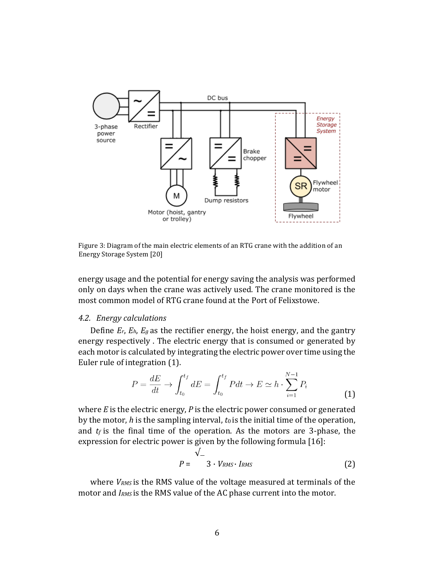

Figure 3: Diagram of the main electric elements of an RTG crane with the addition of an Energy Storage System [20]

energy usage and the potential for energy saving the analysis was performed only on days when the crane was actively used. The crane monitored is the most common model of RTG crane found at the Port of Felixstowe.

#### *4.2. Energy calculations*

Define *Er*, *Eh*, *Eg* as the rectifier energy, the hoist energy, and the gantry energy respectively . The electric energy that is consumed or generated by each motor is calculated by integrating the electric power over time using the Euler rule of integration (1).

$$
P = \frac{dE}{dt} \to \int_{t_0}^{t_f} dE = \int_{t_0}^{t_f} Pdt \to E \simeq h \cdot \sum_{i=1}^{N-1} P_i
$$
 (1)

where *E* is the electric energy, *P* is the electric power consumed or generated by the motor, *h* is the sampling interval, *t*0 is the initial time of the operation, and  $t_f$  is the final time of the operation. As the motors are 3-phase, the expression for electric power is given by the following formula [16]:

$$
P = \begin{cases} \sqrt{2} & \text{if } P = 3 \cdot V_{RMS} \cdot I_{RMS} \end{cases} \tag{2}
$$

where *VRMS* is the RMS value of the voltage measured at terminals of the motor and *IRMS* is the RMS value of the AC phase current into the motor.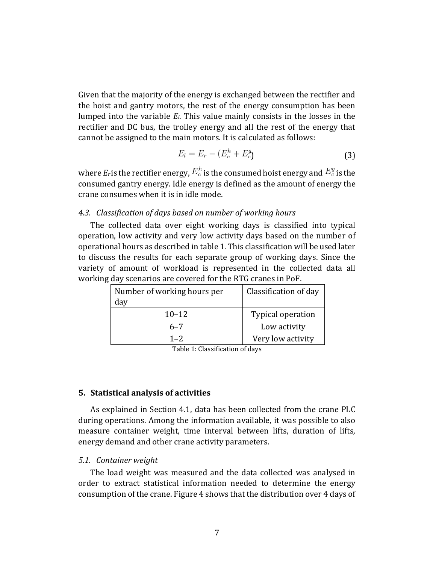Given that the majority of the energy is exchanged between the rectifier and the hoist and gantry motors, the rest of the energy consumption has been lumped into the variable *El*. This value mainly consists in the losses in the rectifier and DC bus, the trolley energy and all the rest of the energy that cannot be assigned to the main motors. It is calculated as follows:

$$
E_l = E_r - (E_c^h + E_c^g) \tag{3}
$$

where  $E_r$  is the rectifier energy,  $E_c^h$  is the consumed hoist energy and  $E_c^g$  is the consumed gantry energy. Idle energy is defined as the amount of energy the crane consumes when it is in idle mode.

# *4.3. Classification of days based on number of working hours*

The collected data over eight working days is classified into typical operation, low activity and very low activity days based on the number of operational hours as described in table 1. This classification will be used later to discuss the results for each separate group of working days. Since the variety of amount of workload is represented in the collected data all working day scenarios are covered for the RTG cranes in PoF.

| Number of working hours per | Classification of day |  |  |  |
|-----------------------------|-----------------------|--|--|--|
| day                         |                       |  |  |  |
| $10 - 12$                   | Typical operation     |  |  |  |
| $6 - 7$                     | Low activity          |  |  |  |
| $1 - 2$                     | Very low activity     |  |  |  |

Table 1: Classification of days

# **5. Statistical analysis of activities**

As explained in Section 4.1, data has been collected from the crane PLC during operations. Among the information available, it was possible to also measure container weight, time interval between lifts, duration of lifts, energy demand and other crane activity parameters.

#### *5.1. Container weight*

The load weight was measured and the data collected was analysed in order to extract statistical information needed to determine the energy consumption of the crane. Figure 4 shows that the distribution over 4 days of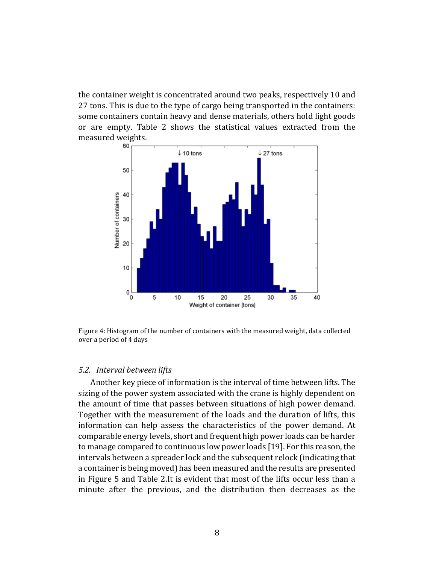the container weight is concentrated around two peaks, respectively 10 and 27 tons. This is due to the type of cargo being transported in the containers: some containers contain heavy and dense materials, others hold light goods or are empty. Table 2 shows the statistical values extracted from the measured weights.



Figure 4: Histogram of the number of containers with the measured weight, data collected over a period of 4 days

#### *5.2. Interval between lifts*

Another key piece of information is the interval of time between lifts. The sizing of the power system associated with the crane is highly dependent on the amount of time that passes between situations of high power demand. Together with the measurement of the loads and the duration of lifts, this information can help assess the characteristics of the power demand. At comparable energy levels, short and frequent high power loads can be harder to manage compared to continuous low power loads [19]. For this reason, the intervals between a spreader lock and the subsequent relock (indicating that a container is being moved) has been measured and the results are presented in Figure 5 and Table 2.It is evident that most of the lifts occur less than a minute after the previous, and the distribution then decreases as the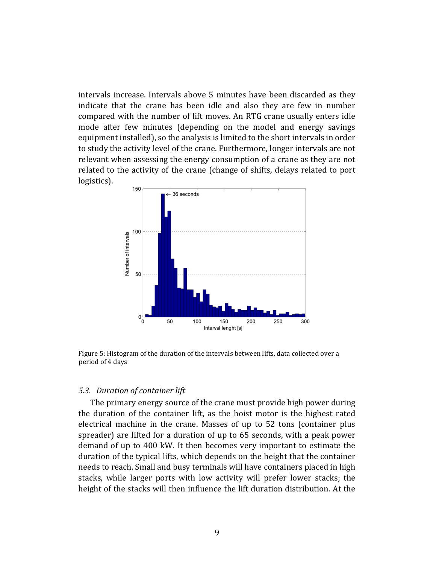intervals increase. Intervals above 5 minutes have been discarded as they indicate that the crane has been idle and also they are few in number compared with the number of lift moves. An RTG crane usually enters idle mode after few minutes (depending on the model and energy savings equipment installed), so the analysis is limited to the short intervals in order to study the activity level of the crane. Furthermore, longer intervals are not relevant when assessing the energy consumption of a crane as they are not related to the activity of the crane (change of shifts, delays related to port logistics).



Figure 5: Histogram of the duration of the intervals between lifts, data collected over a period of 4 days

#### *5.3. Duration of container lift*

The primary energy source of the crane must provide high power during the duration of the container lift, as the hoist motor is the highest rated electrical machine in the crane. Masses of up to 52 tons (container plus spreader) are lifted for a duration of up to 65 seconds, with a peak power demand of up to 400 kW. It then becomes very important to estimate the duration of the typical lifts, which depends on the height that the container needs to reach. Small and busy terminals will have containers placed in high stacks, while larger ports with low activity will prefer lower stacks; the height of the stacks will then influence the lift duration distribution. At the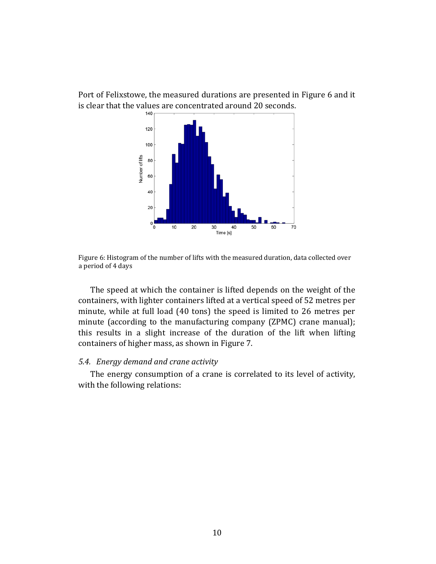Port of Felixstowe, the measured durations are presented in Figure 6 and it is clear that the values are concentrated around 20 seconds.



Figure 6: Histogram of the number of lifts with the measured duration, data collected over a period of 4 days

The speed at which the container is lifted depends on the weight of the containers, with lighter containers lifted at a vertical speed of 52 metres per minute, while at full load (40 tons) the speed is limited to 26 metres per minute (according to the manufacturing company (ZPMC) crane manual); this results in a slight increase of the duration of the lift when lifting containers of higher mass, as shown in Figure 7.

# *5.4. Energy demand and crane activity*

The energy consumption of a crane is correlated to its level of activity, with the following relations: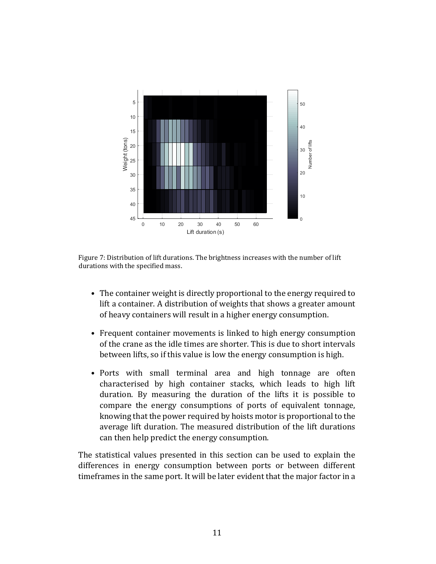

Figure 7: Distribution of lift durations. The brightness increases with the number of lift durations with the specified mass.

- The container weight is directly proportional to the energy required to lift a container. A distribution of weights that shows a greater amount of heavy containers will result in a higher energy consumption.
- Frequent container movements is linked to high energy consumption of the crane as the idle times are shorter. This is due to short intervals between lifts, so if this value is low the energy consumption is high.
- Ports with small terminal area and high tonnage are often characterised by high container stacks, which leads to high lift duration. By measuring the duration of the lifts it is possible to compare the energy consumptions of ports of equivalent tonnage, knowing that the power required by hoists motor is proportional to the average lift duration. The measured distribution of the lift durations can then help predict the energy consumption.

The statistical values presented in this section can be used to explain the differences in energy consumption between ports or between different timeframes in the same port. It will be later evident that the major factor in a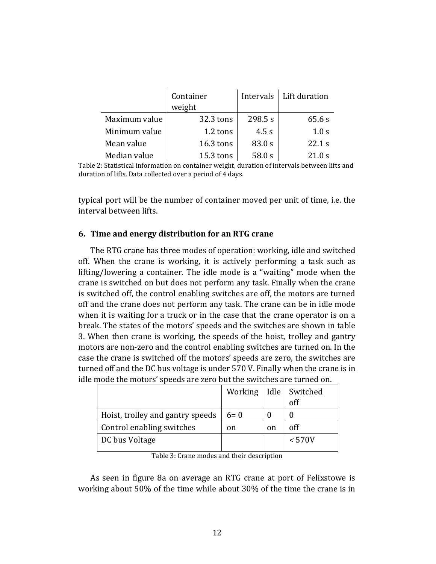|               | Container<br>weight |         | Intervals   Lift duration |
|---------------|---------------------|---------|---------------------------|
| Maximum value | 32.3 tons           | 298.5 s | 65.6 s                    |
| Minimum value | 1.2 tons            | 4.5 s   | 1.0 s                     |
| Mean value    | $16.3$ tons         | 83.0 s  | 22.1 s                    |
| Median value  | 15.3 tons           | 58.0 s  | 21.0 s                    |

Table 2: Statistical information on container weight, duration of intervals between lifts and duration of lifts. Data collected over a period of 4 days.

typical port will be the number of container moved per unit of time, i.e. the interval between lifts.

# **6. Time and energy distribution for an RTG crane**

The RTG crane has three modes of operation: working, idle and switched off. When the crane is working, it is actively performing a task such as lifting/lowering a container. The idle mode is a "waiting" mode when the crane is switched on but does not perform any task. Finally when the crane is switched off, the control enabling switches are off, the motors are turned off and the crane does not perform any task. The crane can be in idle mode when it is waiting for a truck or in the case that the crane operator is on a break. The states of the motors' speeds and the switches are shown in table 3. When then crane is working, the speeds of the hoist, trolley and gantry motors are non-zero and the control enabling switches are turned on. In the case the crane is switched off the motors' speeds are zero, the switches are turned off and the DC bus voltage is under 570 V. Finally when the crane is in idle mode the motors' speeds are zero but the switches are turned on.

|                                  |       |    | Working   Idle   Switched |
|----------------------------------|-------|----|---------------------------|
|                                  |       |    | off                       |
| Hoist, trolley and gantry speeds | $6=0$ |    |                           |
| Control enabling switches        | on    | on | off                       |
| DC bus Voltage                   |       |    | $\rm < 570V$              |
|                                  |       |    |                           |

Table 3: Crane modes and their description

As seen in figure 8a on average an RTG crane at port of Felixstowe is working about 50% of the time while about 30% of the time the crane is in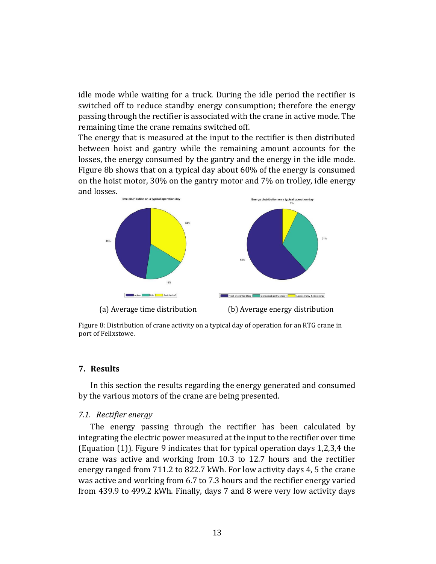idle mode while waiting for a truck. During the idle period the rectifier is switched off to reduce standby energy consumption; therefore the energy passing through the rectifier is associated with the crane in active mode. The remaining time the crane remains switched off.

The energy that is measured at the input to the rectifier is then distributed between hoist and gantry while the remaining amount accounts for the losses, the energy consumed by the gantry and the energy in the idle mode. Figure 8b shows that on a typical day about 60% of the energy is consumed on the hoist motor, 30% on the gantry motor and 7% on trolley, idle energy and losses.



(a) Average time distribution (b) Average energy distribution

Figure 8: Distribution of crane activity on a typical day of operation for an RTG crane in port of Felixstowe.

## **7. Results**

In this section the results regarding the energy generated and consumed by the various motors of the crane are being presented.

## *7.1. Rectifier energy*

The energy passing through the rectifier has been calculated by integrating the electric power measured at the input to the rectifier over time (Equation (1)). Figure 9 indicates that for typical operation days 1,2,3,4 the crane was active and working from 10.3 to 12.7 hours and the rectifier energy ranged from 711.2 to 822.7 kWh. For low activity days 4, 5 the crane was active and working from 6.7 to 7.3 hours and the rectifier energy varied from 439.9 to 499.2 kWh. Finally, days 7 and 8 were very low activity days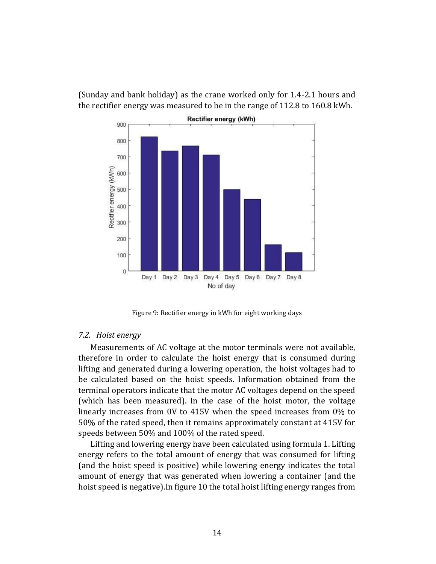(Sunday and bank holiday) as the crane worked only for 1.4-2.1 hours and the rectifier energy was measured to be in the range of 112.8 to 160.8 kWh.



Figure 9: Rectifier energy in kWh for eight working days

#### *7.2. Hoist energy*

Measurements of AC voltage at the motor terminals were not available, therefore in order to calculate the hoist energy that is consumed during lifting and generated during a lowering operation, the hoist voltages had to be calculated based on the hoist speeds. Information obtained from the terminal operators indicate that the motor AC voltages depend on the speed (which has been measured). In the case of the hoist motor, the voltage linearly increases from 0V to 415V when the speed increases from 0% to 50% of the rated speed, then it remains approximately constant at 415V for speeds between 50% and 100% of the rated speed.

Lifting and lowering energy have been calculated using formula 1. Lifting energy refers to the total amount of energy that was consumed for lifting (and the hoist speed is positive) while lowering energy indicates the total amount of energy that was generated when lowering a container (and the hoist speed is negative).In figure 10 the total hoist lifting energy ranges from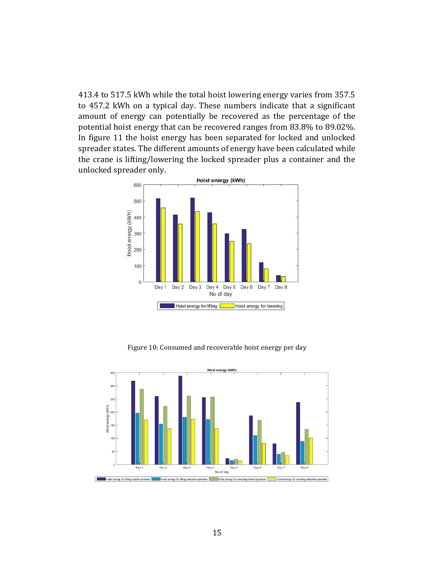413.4 to 517.5 kWh while the total hoist lowering energy varies from 357.5 to 457.2 kWh on a typical day. These numbers indicate that a significant amount of energy can potentially be recovered as the percentage of the potential hoist energy that can be recovered ranges from 83.8% to 89.02%. In figure 11 the hoist energy has been separated for locked and unlocked spreader states. The different amounts of energy have been calculated while the crane is lifting/lowering the locked spreader plus a container and the unlocked spreader only.



Figure 10: Consumed and recoverable hoist energy per day

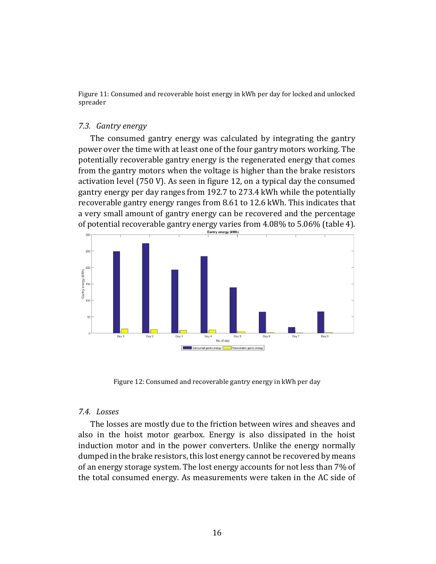Figure 11: Consumed and recoverable hoist energy in kWh per day for locked and unlocked spreader

#### *7.3. Gantry energy*

The consumed gantry energy was calculated by integrating the gantry power over the time with at least one of the four gantry motors working. The potentially recoverable gantry energy is the regenerated energy that comes from the gantry motors when the voltage is higher than the brake resistors activation level (750 V). As seen in figure 12, on a typical day the consumed gantry energy per day ranges from 192.7 to 273.4 kWh while the potentially recoverable gantry energy ranges from 8.61 to 12.6 kWh. This indicates that a very small amount of gantry energy can be recovered and the percentage of potential recoverable gantry energy varies from 4.08% to 5.06% (table 4).



Figure 12: Consumed and recoverable gantry energy in kWh per day

# *7.4. Losses*

The losses are mostly due to the friction between wires and sheaves and also in the hoist motor gearbox. Energy is also dissipated in the hoist induction motor and in the power converters. Unlike the energy normally dumped in the brake resistors, this lost energy cannot be recovered by means of an energy storage system. The lost energy accounts for not less than 7% of the total consumed energy. As measurements were taken in the AC side of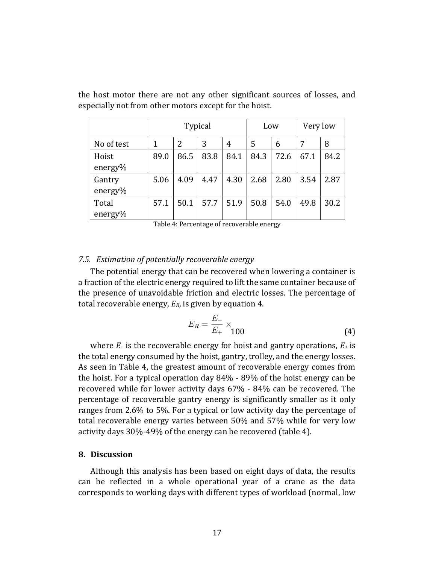|                   | <b>Typical</b> |               |      | Low  |      | Very low |      |      |
|-------------------|----------------|---------------|------|------|------|----------|------|------|
| No of test        | 1              | $\mathcal{L}$ | 3    | 4    | 5    | 6        | 7    | 8    |
| Hoist<br>energy%  | 89.0           | 86.5          | 83.8 | 84.1 | 84.3 | 72.6     | 67.1 | 84.2 |
| Gantry<br>energy% | 5.06           | 4.09          | 4.47 | 4.30 | 2.68 | 2.80     | 3.54 | 2.87 |
| Total<br>energy%  | 57.1           | 50.1          | 57.7 | 51.9 | 50.8 | 54.0     | 49.8 | 30.2 |

the host motor there are not any other significant sources of losses, and especially not from other motors except for the hoist.

Table 4: Percentage of recoverable energy

## *7.5. Estimation of potentially recoverable energy*

The potential energy that can be recovered when lowering a container is a fraction of the electric energy required to lift the same container because of the presence of unavoidable friction and electric losses. The percentage of total recoverable energy, *ER*, is given by equation 4.

$$
E_R = \frac{E_-}{E_+} \times \begin{cases} 4 \end{cases}
$$

where *E*<sup>−</sup> is the recoverable energy for hoist and gantry operations, *E*+ is the total energy consumed by the hoist, gantry, trolley, and the energy losses. As seen in Table 4, the greatest amount of recoverable energy comes from the hoist. For a typical operation day 84% - 89% of the hoist energy can be recovered while for lower activity days 67% - 84% can be recovered. The percentage of recoverable gantry energy is significantly smaller as it only ranges from 2.6% to 5%. For a typical or low activity day the percentage of total recoverable energy varies between 50% and 57% while for very low activity days 30%-49% of the energy can be recovered (table 4).

# **8. Discussion**

Although this analysis has been based on eight days of data, the results can be reflected in a whole operational year of a crane as the data corresponds to working days with different types of workload (normal, low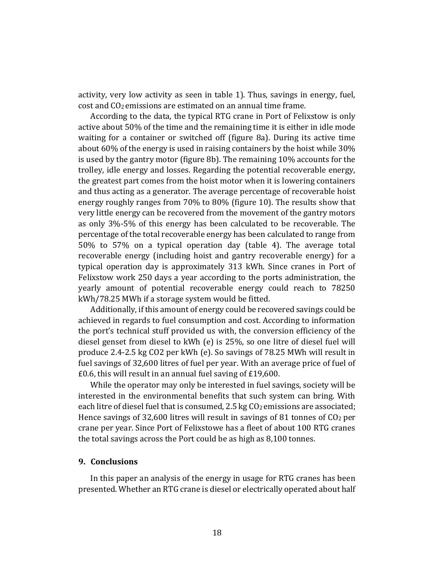activity, very low activity as seen in table 1). Thus, savings in energy, fuel, cost and CO2 emissions are estimated on an annual time frame.

According to the data, the typical RTG crane in Port of Felixstow is only active about 50% of the time and the remaining time it is either in idle mode waiting for a container or switched off (figure 8a). During its active time about 60% of the energy is used in raising containers by the hoist while 30% is used by the gantry motor (figure 8b). The remaining 10% accounts for the trolley, idle energy and losses. Regarding the potential recoverable energy, the greatest part comes from the hoist motor when it is lowering containers and thus acting as a generator. The average percentage of recoverable hoist energy roughly ranges from 70% to 80% (figure 10). The results show that very little energy can be recovered from the movement of the gantry motors as only 3%-5% of this energy has been calculated to be recoverable. The percentage of the total recoverable energy has been calculated to range from 50% to 57% on a typical operation day (table 4). The average total recoverable energy (including hoist and gantry recoverable energy) for a typical operation day is approximately 313 kWh. Since cranes in Port of Felixstow work 250 days a year according to the ports administration, the yearly amount of potential recoverable energy could reach to 78250 kWh/78.25 MWh if a storage system would be fitted.

Additionally, if this amount of energy could be recovered savings could be achieved in regards to fuel consumption and cost. According to information the port's technical stuff provided us with, the conversion efficiency of the diesel genset from diesel to kWh (e) is 25%, so one litre of diesel fuel will produce 2.4-2.5 kg CO2 per kWh (e). So savings of 78.25 MWh will result in fuel savings of 32,600 litres of fuel per year. With an average price of fuel of £0.6, this will result in an annual fuel saving of £19,600.

While the operator may only be interested in fuel savings, society will be interested in the environmental benefits that such system can bring. With each litre of diesel fuel that is consumed, 2.5 kg CO<sub>2</sub> emissions are associated; Hence savings of 32,600 litres will result in savings of 81 tonnes of  $CO<sub>2</sub>$  per crane per year. Since Port of Felixstowe has a fleet of about 100 RTG cranes the total savings across the Port could be as high as 8,100 tonnes.

# **9. Conclusions**

In this paper an analysis of the energy in usage for RTG cranes has been presented. Whether an RTG crane is diesel or electrically operated about half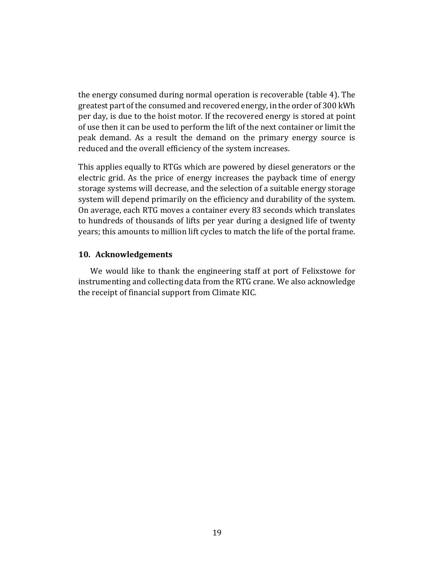the energy consumed during normal operation is recoverable (table 4). The greatest part of the consumed and recovered energy, in the order of 300 kWh per day, is due to the hoist motor. If the recovered energy is stored at point of use then it can be used to perform the lift of the next container or limit the peak demand. As a result the demand on the primary energy source is reduced and the overall efficiency of the system increases.

This applies equally to RTGs which are powered by diesel generators or the electric grid. As the price of energy increases the payback time of energy storage systems will decrease, and the selection of a suitable energy storage system will depend primarily on the efficiency and durability of the system. On average, each RTG moves a container every 83 seconds which translates to hundreds of thousands of lifts per year during a designed life of twenty years; this amounts to million lift cycles to match the life of the portal frame.

# **10. Acknowledgements**

We would like to thank the engineering staff at port of Felixstowe for instrumenting and collecting data from the RTG crane. We also acknowledge the receipt of financial support from Climate KIC.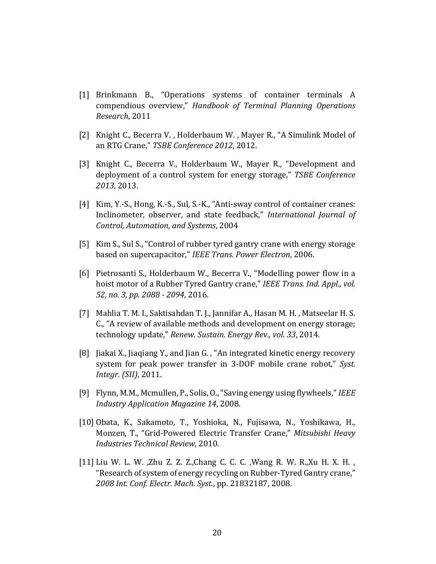- [1] Brinkmann B., "Operations systems of container terminals A compendious overview," *Handbook of Terminal Planning Operations Research*, 2011
- [2] Knight C., Becerra V., Holderbaum W., Mayer R., "A Simulink Model of an RTG Crane," *TSBE Conference 2012*, 2012.
- [3] Knight C., Becerra V., Holderbaum W., Mayer R., "Development and deployment of a control system for energy storage," *TSBE Conference 2013*, 2013.
- [4] Kim, Y.-S., Hong, K.-S., Sul, S.-K., "Anti-sway control of container cranes: Inclinometer, observer, and state feedback," *International Journal of Control, Automation, and Systems*, 2004
- [5] Kim S., Sul S., "Control of rubber tyred gantry crane with energy storage based on supercapacitor," *IEEE Trans. Power Electron*, 2006.
- [6] Pietrosanti S., Holderbaum W., Becerra V., "Modelling power flow in a hoist motor of a Rubber Tyred Gantry crane," *IEEE Trans. Ind. Appl., vol. 52, no. 3, pp. 2088 - 2094*, 2016.
- [7] Mahlia T. M. I., Saktisahdan T. J., Jannifar A., Hasan M. H. , Matseelar H. S. C., "A review of available methods and development on energy storage; technology update," *Renew. Sustain. Energy Rev., vol. 33*, 2014.
- [8] Jiakai X., Jiaqiang Y., and Jian G. , "An integrated kinetic energy recovery system for peak power transfer in 3-DOF mobile crane robot," *Syst. Integr. (SII)*, 2011.
- [9] Flynn, M.M., Mcmullen, P., Solis, O., "Saving energy using flywheels," *IEEE Industry Application Magazine 14*, 2008.
- [10] Obata, K., Sakamoto, T., Yoshioka, N., Fujisawa, N., Yoshikawa, H., Monzen, T., "Grid-Powered Electric Transfer Crane," *Mitsubishi Heavy Industries Technical Review*, 2010.
- [11] Liu W. L. W. ,Zhu Z. Z. Z.,Chang C. C. C. ,Wang R. W. R.,Xu H. X. H. , "Research of system of energy recycling on Rubber-Tyred Gantry crane," *2008 Int. Conf. Electr. Mach. Syst*., pp. 21832187, 2008.